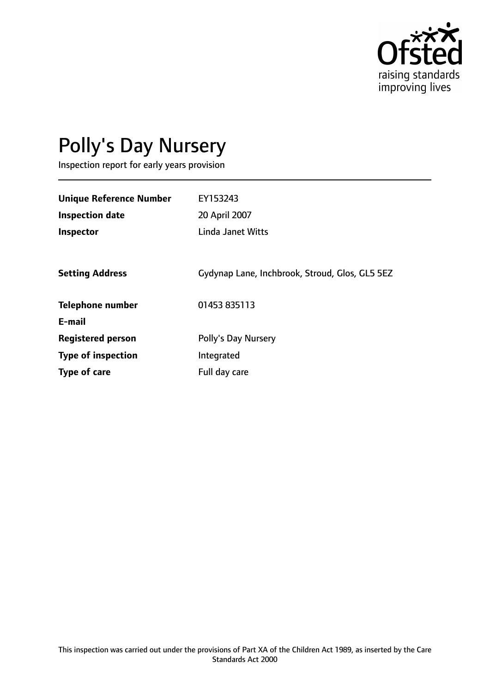

# Polly's Day Nursery

Inspection report for early years provision

| <b>Unique Reference Number</b> | EY153243                                       |
|--------------------------------|------------------------------------------------|
| <b>Inspection date</b>         | 20 April 2007                                  |
| Inspector                      | <b>Linda Janet Witts</b>                       |
|                                |                                                |
| <b>Setting Address</b>         | Gydynap Lane, Inchbrook, Stroud, Glos, GL5 5EZ |
| <b>Telephone number</b>        | 01453 835113                                   |
| E-mail                         |                                                |
| <b>Registered person</b>       | Polly's Day Nursery                            |
| <b>Type of inspection</b>      | Integrated                                     |
| Type of care                   | Full day care                                  |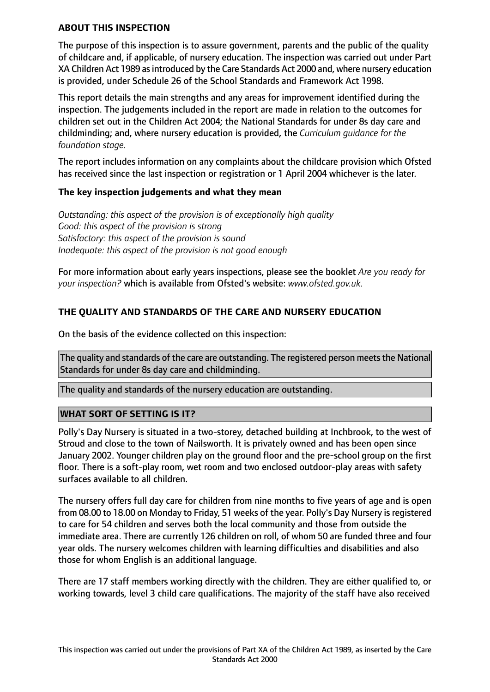#### **ABOUT THIS INSPECTION**

The purpose of this inspection is to assure government, parents and the public of the quality of childcare and, if applicable, of nursery education. The inspection was carried out under Part XA Children Act 1989 as introduced by the Care Standards Act 2000 and, where nursery education is provided, under Schedule 26 of the School Standards and Framework Act 1998.

This report details the main strengths and any areas for improvement identified during the inspection. The judgements included in the report are made in relation to the outcomes for children set out in the Children Act 2004; the National Standards for under 8s day care and childminding; and, where nursery education is provided, the *Curriculum guidance for the foundation stage.*

The report includes information on any complaints about the childcare provision which Ofsted has received since the last inspection or registration or 1 April 2004 whichever is the later.

## **The key inspection judgements and what they mean**

*Outstanding: this aspect of the provision is of exceptionally high quality Good: this aspect of the provision is strong Satisfactory: this aspect of the provision is sound Inadequate: this aspect of the provision is not good enough*

For more information about early years inspections, please see the booklet *Are you ready for your inspection?* which is available from Ofsted's website: *www.ofsted.gov.uk.*

# **THE QUALITY AND STANDARDS OF THE CARE AND NURSERY EDUCATION**

On the basis of the evidence collected on this inspection:

The quality and standards of the care are outstanding. The registered person meets the National Standards for under 8s day care and childminding.

The quality and standards of the nursery education are outstanding.

## **WHAT SORT OF SETTING IS IT?**

Polly's Day Nursery is situated in a two-storey, detached building at Inchbrook, to the west of Stroud and close to the town of Nailsworth. It is privately owned and has been open since January 2002. Younger children play on the ground floor and the pre-school group on the first floor. There is a soft-play room, wet room and two enclosed outdoor-play areas with safety surfaces available to all children.

The nursery offers full day care for children from nine months to five years of age and is open from 08.00 to 18.00 on Monday to Friday, 51 weeks of the year. Polly's Day Nursery is registered to care for 54 children and serves both the local community and those from outside the immediate area. There are currently 126 children on roll, of whom 50 are funded three and four year olds. The nursery welcomes children with learning difficulties and disabilities and also those for whom English is an additional language.

There are 17 staff members working directly with the children. They are either qualified to, or working towards, level 3 child care qualifications. The majority of the staff have also received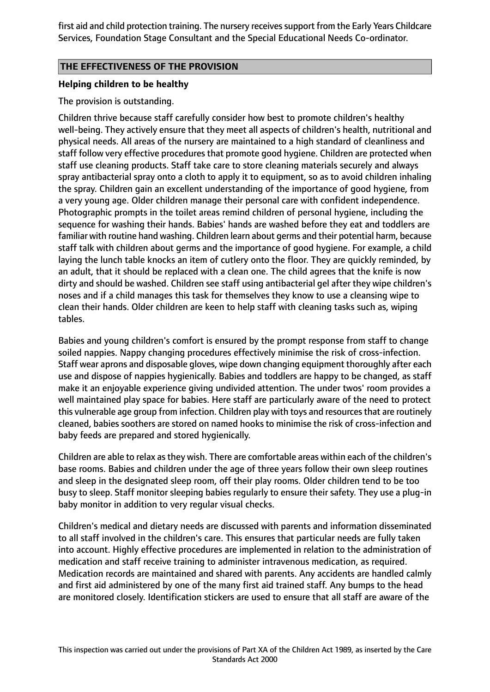first aid and child protection training. The nursery receives support from the Early Years Childcare Services, Foundation Stage Consultant and the Special Educational Needs Co-ordinator.

## **THE EFFECTIVENESS OF THE PROVISION**

#### **Helping children to be healthy**

#### The provision is outstanding.

Children thrive because staff carefully consider how best to promote children's healthy well-being. They actively ensure that they meet all aspects of children's health, nutritional and physical needs. All areas of the nursery are maintained to a high standard of cleanliness and staff follow very effective procedures that promote good hygiene. Children are protected when staff use cleaning products. Staff take care to store cleaning materials securely and always spray antibacterial spray onto a cloth to apply it to equipment, so as to avoid children inhaling the spray. Children gain an excellent understanding of the importance of good hygiene, from a very young age. Older children manage their personal care with confident independence. Photographic prompts in the toilet areas remind children of personal hygiene, including the sequence for washing their hands. Babies' hands are washed before they eat and toddlers are familiar with routine hand washing. Children learn about germs and their potential harm, because staff talk with children about germs and the importance of good hygiene. For example, a child laying the lunch table knocks an item of cutlery onto the floor. They are quickly reminded, by an adult, that it should be replaced with a clean one. The child agrees that the knife is now dirty and should be washed. Children see staff using antibacterial gel after they wipe children's noses and if a child manages this task for themselves they know to use a cleansing wipe to clean their hands. Older children are keen to help staff with cleaning tasks such as, wiping tables.

Babies and young children's comfort is ensured by the prompt response from staff to change soiled nappies. Nappy changing procedures effectively minimise the risk of cross-infection. Staff wear aprons and disposable gloves, wipe down changing equipment thoroughly after each use and dispose of nappies hygienically. Babies and toddlers are happy to be changed, as staff make it an enjoyable experience giving undivided attention. The under twos' room provides a well maintained play space for babies. Here staff are particularly aware of the need to protect this vulnerable age group from infection. Children play with toys and resources that are routinely cleaned, babies soothers are stored on named hooks to minimise the risk of cross-infection and baby feeds are prepared and stored hygienically.

Children are able to relax asthey wish. There are comfortable areas within each of the children's base rooms. Babies and children under the age of three years follow their own sleep routines and sleep in the designated sleep room, off their play rooms. Older children tend to be too busy to sleep. Staff monitor sleeping babies regularly to ensure their safety. They use a plug-in baby monitor in addition to very regular visual checks.

Children's medical and dietary needs are discussed with parents and information disseminated to all staff involved in the children's care. This ensures that particular needs are fully taken into account. Highly effective procedures are implemented in relation to the administration of medication and staff receive training to administer intravenous medication, as required. Medication records are maintained and shared with parents. Any accidents are handled calmly and first aid administered by one of the many first aid trained staff. Any bumps to the head are monitored closely. Identification stickers are used to ensure that all staff are aware of the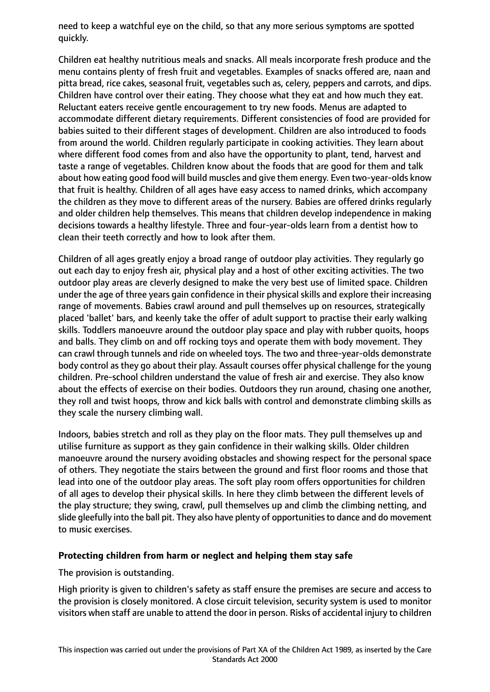need to keep a watchful eye on the child, so that any more serious symptoms are spotted quickly.

Children eat healthy nutritious meals and snacks. All meals incorporate fresh produce and the menu contains plenty of fresh fruit and vegetables. Examples of snacks offered are, naan and pitta bread, rice cakes, seasonal fruit, vegetables such as, celery, peppers and carrots, and dips. Children have control over their eating. They choose what they eat and how much they eat. Reluctant eaters receive gentle encouragement to try new foods. Menus are adapted to accommodate different dietary requirements. Different consistencies of food are provided for babies suited to their different stages of development. Children are also introduced to foods from around the world. Children regularly participate in cooking activities. They learn about where different food comes from and also have the opportunity to plant, tend, harvest and taste a range of vegetables. Children know about the foods that are good for them and talk about how eating good food will build muscles and give them energy. Even two-year-olds know that fruit is healthy. Children of all ages have easy access to named drinks, which accompany the children as they move to different areas of the nursery. Babies are offered drinks regularly and older children help themselves. This means that children develop independence in making decisions towards a healthy lifestyle. Three and four-year-olds learn from a dentist how to clean their teeth correctly and how to look after them.

Children of all ages greatly enjoy a broad range of outdoor play activities. They regularly go out each day to enjoy fresh air, physical play and a host of other exciting activities. The two outdoor play areas are cleverly designed to make the very best use of limited space. Children under the age of three years gain confidence in their physical skills and explore their increasing range of movements. Babies crawl around and pull themselves up on resources, strategically placed 'ballet' bars, and keenly take the offer of adult support to practise their early walking skills. Toddlers manoeuvre around the outdoor play space and play with rubber quoits, hoops and balls. They climb on and off rocking toys and operate them with body movement. They can crawl through tunnels and ride on wheeled toys. The two and three-year-olds demonstrate body control as they go about their play. Assault courses offer physical challenge for the young children. Pre-school children understand the value of fresh air and exercise. They also know about the effects of exercise on their bodies. Outdoors they run around, chasing one another, they roll and twist hoops, throw and kick balls with control and demonstrate climbing skills as they scale the nursery climbing wall.

Indoors, babies stretch and roll as they play on the floor mats. They pull themselves up and utilise furniture as support as they gain confidence in their walking skills. Older children manoeuvre around the nursery avoiding obstacles and showing respect for the personal space of others. They negotiate the stairs between the ground and first floor rooms and those that lead into one of the outdoor play areas. The soft play room offers opportunities for children of all ages to develop their physical skills. In here they climb between the different levels of the play structure; they swing, crawl, pull themselves up and climb the climbing netting, and slide gleefully into the ball pit. They also have plenty of opportunities to dance and do movement to music exercises.

## **Protecting children from harm or neglect and helping them stay safe**

The provision is outstanding.

High priority is given to children's safety as staff ensure the premises are secure and access to the provision is closely monitored. A close circuit television, security system is used to monitor visitors when staff are unable to attend the door in person. Risks of accidental injury to children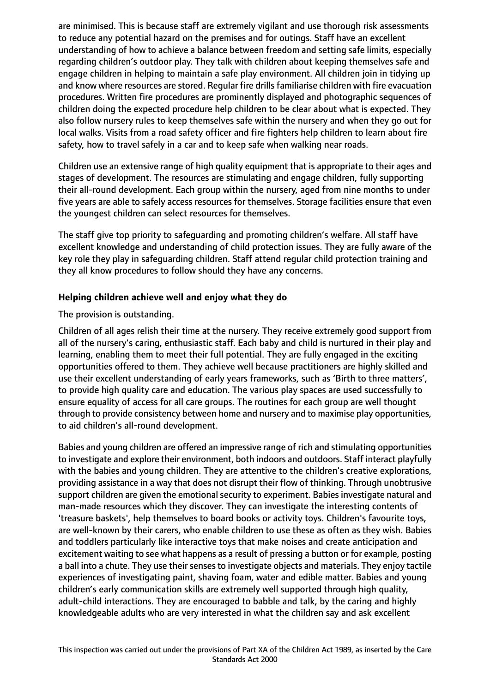are minimised. This is because staff are extremely vigilant and use thorough risk assessments to reduce any potential hazard on the premises and for outings. Staff have an excellent understanding of how to achieve a balance between freedom and setting safe limits, especially regarding children's outdoor play. They talk with children about keeping themselves safe and engage children in helping to maintain a safe play environment. All children join in tidying up and know where resources are stored. Regular fire drills familiarise children with fire evacuation procedures. Written fire procedures are prominently displayed and photographic sequences of children doing the expected procedure help children to be clear about what is expected. They also follow nursery rules to keep themselves safe within the nursery and when they go out for local walks. Visits from a road safety officer and fire fighters help children to learn about fire safety, how to travel safely in a car and to keep safe when walking near roads.

Children use an extensive range of high quality equipment that is appropriate to their ages and stages of development. The resources are stimulating and engage children, fully supporting their all-round development. Each group within the nursery, aged from nine months to under five years are able to safely access resources for themselves. Storage facilities ensure that even the youngest children can select resources for themselves.

The staff give top priority to safeguarding and promoting children's welfare. All staff have excellent knowledge and understanding of child protection issues. They are fully aware of the key role they play in safeguarding children. Staff attend regular child protection training and they all know procedures to follow should they have any concerns.

# **Helping children achieve well and enjoy what they do**

The provision is outstanding.

Children of all ages relish their time at the nursery. They receive extremely good support from all of the nursery's caring, enthusiastic staff. Each baby and child is nurtured in their play and learning, enabling them to meet their full potential. They are fully engaged in the exciting opportunities offered to them. They achieve well because practitioners are highly skilled and use their excellent understanding of early years frameworks, such as 'Birth to three matters', to provide high quality care and education. The various play spaces are used successfully to ensure equality of access for all care groups. The routines for each group are well thought through to provide consistency between home and nursery and to maximise play opportunities, to aid children's all-round development.

Babies and young children are offered an impressive range of rich and stimulating opportunities to investigate and explore their environment, both indoors and outdoors. Staff interact playfully with the babies and young children. They are attentive to the children's creative explorations, providing assistance in a way that does not disrupt their flow of thinking. Through unobtrusive support children are given the emotional security to experiment. Babies investigate natural and man-made resources which they discover. They can investigate the interesting contents of 'treasure baskets', help themselves to board books or activity toys. Children's favourite toys, are well-known by their carers, who enable children to use these as often as they wish. Babies and toddlers particularly like interactive toys that make noises and create anticipation and excitement waiting to see what happens as a result of pressing a button or for example, posting a ball into a chute. They use their senses to investigate objects and materials. They enjoy tactile experiences of investigating paint, shaving foam, water and edible matter. Babies and young children's early communication skills are extremely well supported through high quality, adult-child interactions. They are encouraged to babble and talk, by the caring and highly knowledgeable adults who are very interested in what the children say and ask excellent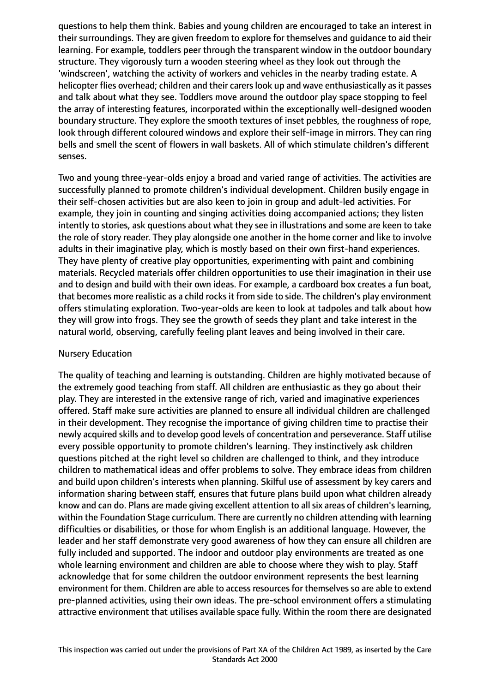questions to help them think. Babies and young children are encouraged to take an interest in their surroundings. They are given freedom to explore for themselves and guidance to aid their learning. For example, toddlers peer through the transparent window in the outdoor boundary structure. They vigorously turn a wooden steering wheel as they look out through the 'windscreen', watching the activity of workers and vehicles in the nearby trading estate. A helicopter flies overhead; children and their carers look up and wave enthusiastically as it passes and talk about what they see. Toddlers move around the outdoor play space stopping to feel the array of interesting features, incorporated within the exceptionally well-designed wooden boundary structure. They explore the smooth textures of inset pebbles, the roughness of rope, look through different coloured windows and explore their self-image in mirrors. They can ring bells and smell the scent of flowers in wall baskets. All of which stimulate children's different senses.

Two and young three-year-olds enjoy a broad and varied range of activities. The activities are successfully planned to promote children's individual development. Children busily engage in their self-chosen activities but are also keen to join in group and adult-led activities. For example, they join in counting and singing activities doing accompanied actions; they listen intently to stories, ask questions about what they see in illustrations and some are keen to take the role of story reader. They play alongside one another in the home corner and like to involve adults in their imaginative play, which is mostly based on their own first-hand experiences. They have plenty of creative play opportunities, experimenting with paint and combining materials. Recycled materials offer children opportunities to use their imagination in their use and to design and build with their own ideas. For example, a cardboard box creates a fun boat, that becomes more realistic as a child rocks it from side to side. The children's play environment offers stimulating exploration. Two-year-olds are keen to look at tadpoles and talk about how they will grow into frogs. They see the growth of seeds they plant and take interest in the natural world, observing, carefully feeling plant leaves and being involved in their care.

## Nursery Education

The quality of teaching and learning is outstanding. Children are highly motivated because of the extremely good teaching from staff. All children are enthusiastic as they go about their play. They are interested in the extensive range of rich, varied and imaginative experiences offered. Staff make sure activities are planned to ensure all individual children are challenged in their development. They recognise the importance of giving children time to practise their newly acquired skills and to develop good levels of concentration and perseverance. Staff utilise every possible opportunity to promote children's learning. They instinctively ask children questions pitched at the right level so children are challenged to think, and they introduce children to mathematical ideas and offer problems to solve. They embrace ideas from children and build upon children's interests when planning. Skilful use of assessment by key carers and information sharing between staff, ensures that future plans build upon what children already know and can do. Plans are made giving excellent attention to all six areas of children's learning, within the Foundation Stage curriculum. There are currently no children attending with learning difficulties or disabilities, or those for whom English is an additional language. However, the leader and her staff demonstrate very good awareness of how they can ensure all children are fully included and supported. The indoor and outdoor play environments are treated as one whole learning environment and children are able to choose where they wish to play. Staff acknowledge that for some children the outdoor environment represents the best learning environment for them. Children are able to access resources for themselves so are able to extend pre-planned activities, using their own ideas. The pre-school environment offers a stimulating attractive environment that utilises available space fully. Within the room there are designated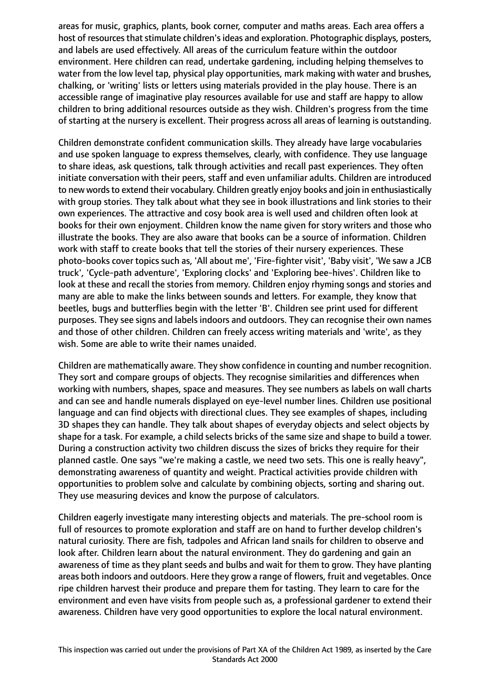areas for music, graphics, plants, book corner, computer and maths areas. Each area offers a host of resources that stimulate children's ideas and exploration. Photographic displays, posters, and labels are used effectively. All areas of the curriculum feature within the outdoor environment. Here children can read, undertake gardening, including helping themselves to water from the low level tap, physical play opportunities, mark making with water and brushes, chalking, or 'writing' lists or letters using materials provided in the play house. There is an accessible range of imaginative play resources available for use and staff are happy to allow children to bring additional resources outside as they wish. Children's progress from the time of starting at the nursery is excellent. Their progress across all areas of learning is outstanding.

Children demonstrate confident communication skills. They already have large vocabularies and use spoken language to express themselves, clearly, with confidence. They use language to share ideas, ask questions, talk through activities and recall past experiences. They often initiate conversation with their peers, staff and even unfamiliar adults. Children are introduced to new words to extend their vocabulary. Children greatly enjoy books and join in enthusiastically with group stories. They talk about what they see in book illustrations and link stories to their own experiences. The attractive and cosy book area is well used and children often look at books for their own enjoyment. Children know the name given for story writers and those who illustrate the books. They are also aware that books can be a source of information. Children work with staff to create books that tell the stories of their nursery experiences. These photo-books cover topics such as, 'All about me', 'Fire-fighter visit', 'Baby visit', 'We saw a JCB truck', 'Cycle-path adventure', 'Exploring clocks' and 'Exploring bee-hives'. Children like to look at these and recall the stories from memory. Children enjoy rhyming songs and stories and many are able to make the links between sounds and letters. For example, they know that beetles, bugs and butterflies begin with the letter 'B'. Children see print used for different purposes. They see signs and labels indoors and outdoors. They can recognise their own names and those of other children. Children can freely access writing materials and 'write', as they wish. Some are able to write their names unaided.

Children are mathematically aware. They show confidence in counting and number recognition. They sort and compare groups of objects. They recognise similarities and differences when working with numbers, shapes, space and measures. They see numbers as labels on wall charts and can see and handle numerals displayed on eye-level number lines. Children use positional language and can find objects with directional clues. They see examples of shapes, including 3D shapes they can handle. They talk about shapes of everyday objects and select objects by shape for a task. For example, a child selects bricks of the same size and shape to build a tower. During a construction activity two children discuss the sizes of bricks they require for their planned castle. One says "we're making a castle, we need two sets. This one is really heavy", demonstrating awareness of quantity and weight. Practical activities provide children with opportunities to problem solve and calculate by combining objects, sorting and sharing out. They use measuring devices and know the purpose of calculators.

Children eagerly investigate many interesting objects and materials. The pre-school room is full of resources to promote exploration and staff are on hand to further develop children's natural curiosity. There are fish, tadpoles and African land snails for children to observe and look after. Children learn about the natural environment. They do gardening and gain an awareness of time as they plant seeds and bulbs and wait for them to grow. They have planting areas both indoors and outdoors. Here they grow a range of flowers, fruit and vegetables. Once ripe children harvest their produce and prepare them for tasting. They learn to care for the environment and even have visits from people such as, a professional gardener to extend their awareness. Children have very good opportunities to explore the local natural environment.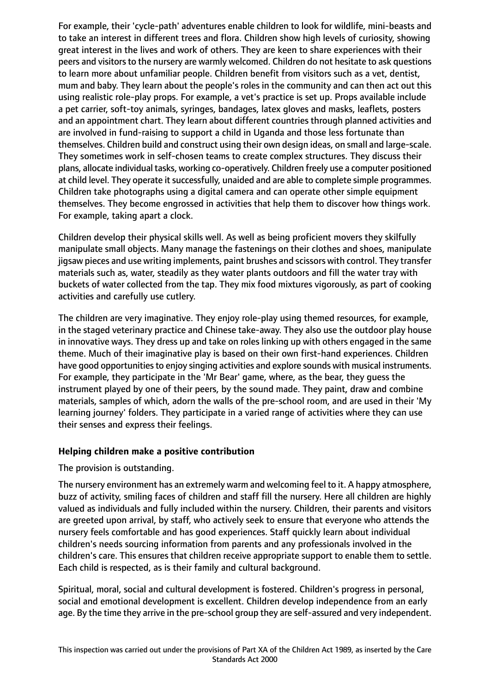For example, their 'cycle-path' adventures enable children to look for wildlife, mini-beasts and to take an interest in different trees and flora. Children show high levels of curiosity, showing great interest in the lives and work of others. They are keen to share experiences with their peers and visitors to the nursery are warmly welcomed. Children do not hesitate to ask questions to learn more about unfamiliar people. Children benefit from visitors such as a vet, dentist, mum and baby. They learn about the people's roles in the community and can then act out this using realistic role-play props. For example, a vet's practice is set up. Props available include a pet carrier, soft-toy animals, syringes, bandages, latex gloves and masks, leaflets, posters and an appointment chart. They learn about different countries through planned activities and are involved in fund-raising to support a child in Uganda and those less fortunate than themselves. Children build and construct using their own design ideas, on small and large-scale. They sometimes work in self-chosen teams to create complex structures. They discuss their plans, allocate individual tasks, working co-operatively. Children freely use a computer positioned at child level. They operate it successfully, unaided and are able to complete simple programmes. Children take photographs using a digital camera and can operate other simple equipment themselves. They become engrossed in activities that help them to discover how things work. For example, taking apart a clock.

Children develop their physical skills well. As well as being proficient movers they skilfully manipulate small objects. Many manage the fastenings on their clothes and shoes, manipulate jigsaw pieces and use writing implements, paint brushes and scissors with control. They transfer materials such as, water, steadily as they water plants outdoors and fill the water tray with buckets of water collected from the tap. They mix food mixtures vigorously, as part of cooking activities and carefully use cutlery.

The children are very imaginative. They enjoy role-play using themed resources, for example, in the staged veterinary practice and Chinese take-away. They also use the outdoor play house in innovative ways. They dress up and take on roles linking up with others engaged in the same theme. Much of their imaginative play is based on their own first-hand experiences. Children have good opportunities to enjoy singing activities and explore sounds with musical instruments. For example, they participate in the 'Mr Bear' game, where, as the bear, they guess the instrument played by one of their peers, by the sound made. They paint, draw and combine materials, samples of which, adorn the walls of the pre-school room, and are used in their 'My learning journey' folders. They participate in a varied range of activities where they can use their senses and express their feelings.

## **Helping children make a positive contribution**

The provision is outstanding.

The nursery environment has an extremely warm and welcoming feel to it. A happy atmosphere, buzz of activity, smiling faces of children and staff fill the nursery. Here all children are highly valued as individuals and fully included within the nursery. Children, their parents and visitors are greeted upon arrival, by staff, who actively seek to ensure that everyone who attends the nursery feels comfortable and has good experiences. Staff quickly learn about individual children's needs sourcing information from parents and any professionals involved in the children's care. This ensures that children receive appropriate support to enable them to settle. Each child is respected, as is their family and cultural background.

Spiritual, moral, social and cultural development is fostered. Children's progress in personal, social and emotional development is excellent. Children develop independence from an early age. By the time they arrive in the pre-school group they are self-assured and very independent.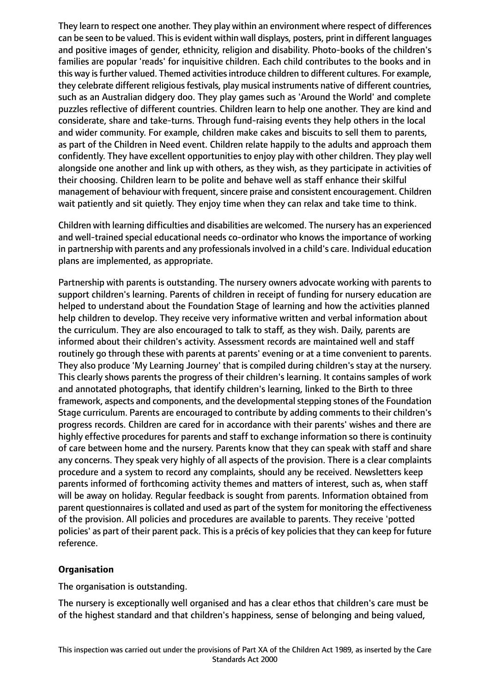They learn to respect one another. They play within an environment where respect of differences can be seen to be valued. This is evident within wall displays, posters, print in different languages and positive images of gender, ethnicity, religion and disability. Photo-books of the children's families are popular 'reads' for inquisitive children. Each child contributes to the books and in this way is further valued. Themed activities introduce children to different cultures. For example, they celebrate different religious festivals, play musical instruments native of different countries, such as an Australian didgery doo. They play games such as 'Around the World' and complete puzzles reflective of different countries. Children learn to help one another. They are kind and considerate, share and take-turns. Through fund-raising events they help others in the local and wider community. For example, children make cakes and biscuits to sell them to parents, as part of the Children in Need event. Children relate happily to the adults and approach them confidently. They have excellent opportunities to enjoy play with other children. They play well alongside one another and link up with others, as they wish, as they participate in activities of their choosing. Children learn to be polite and behave well as staff enhance their skilful management of behaviour with frequent, sincere praise and consistent encouragement. Children wait patiently and sit quietly. They enjoy time when they can relax and take time to think.

Children with learning difficulties and disabilities are welcomed. The nursery has an experienced and well-trained special educational needs co-ordinator who knows the importance of working in partnership with parents and any professionals involved in a child's care. Individual education plans are implemented, as appropriate.

Partnership with parents is outstanding. The nursery owners advocate working with parents to support children's learning. Parents of children in receipt of funding for nursery education are helped to understand about the Foundation Stage of learning and how the activities planned help children to develop. They receive very informative written and verbal information about the curriculum. They are also encouraged to talk to staff, as they wish. Daily, parents are informed about their children's activity. Assessment records are maintained well and staff routinely go through these with parents at parents' evening or at a time convenient to parents. They also produce 'My Learning Journey' that is compiled during children's stay at the nursery. This clearly shows parents the progress of their children's learning. It contains samples of work and annotated photographs, that identify children's learning, linked to the Birth to three framework, aspects and components, and the developmentalstepping stones of the Foundation Stage curriculum. Parents are encouraged to contribute by adding comments to their children's progress records. Children are cared for in accordance with their parents' wishes and there are highly effective procedures for parents and staff to exchange information so there is continuity of care between home and the nursery. Parents know that they can speak with staff and share any concerns. They speak very highly of all aspects of the provision. There is a clear complaints procedure and a system to record any complaints, should any be received. Newsletters keep parents informed of forthcoming activity themes and matters of interest, such as, when staff will be away on holiday. Regular feedback is sought from parents. Information obtained from parent questionnaires is collated and used as part of the system for monitoring the effectiveness of the provision. All policies and procedures are available to parents. They receive 'potted policies' as part of their parent pack. This is a précis of key policies that they can keep for future reference.

## **Organisation**

The organisation is outstanding.

The nursery is exceptionally well organised and has a clear ethos that children's care must be of the highest standard and that children's happiness, sense of belonging and being valued,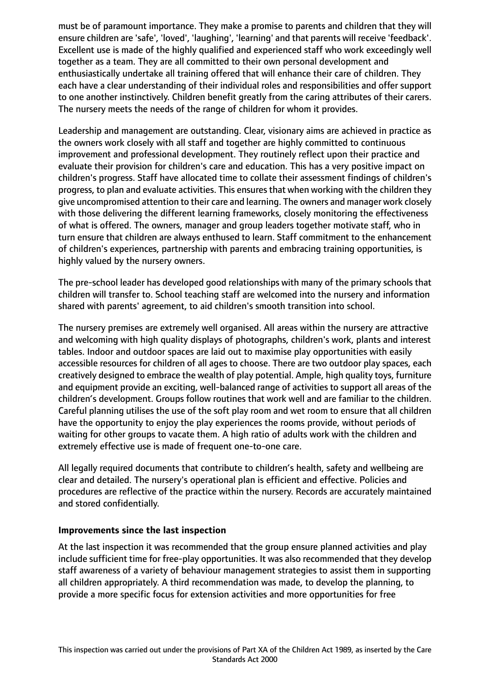must be of paramount importance. They make a promise to parents and children that they will ensure children are 'safe', 'loved', 'laughing', 'learning' and that parents will receive 'feedback'. Excellent use is made of the highly qualified and experienced staff who work exceedingly well together as a team. They are all committed to their own personal development and enthusiastically undertake all training offered that will enhance their care of children. They each have a clear understanding of their individual roles and responsibilities and offer support to one another instinctively. Children benefit greatly from the caring attributes of their carers. The nursery meets the needs of the range of children for whom it provides.

Leadership and management are outstanding. Clear, visionary aims are achieved in practice as the owners work closely with all staff and together are highly committed to continuous improvement and professional development. They routinely reflect upon their practice and evaluate their provision for children's care and education. This has a very positive impact on children's progress. Staff have allocated time to collate their assessment findings of children's progress, to plan and evaluate activities. This ensures that when working with the children they give uncompromised attention to their care and learning. The owners and manager work closely with those delivering the different learning frameworks, closely monitoring the effectiveness of what is offered. The owners, manager and group leaders together motivate staff, who in turn ensure that children are always enthused to learn. Staff commitment to the enhancement of children's experiences, partnership with parents and embracing training opportunities, is highly valued by the nursery owners.

The pre-school leader has developed good relationships with many of the primary schools that children will transfer to. School teaching staff are welcomed into the nursery and information shared with parents' agreement, to aid children's smooth transition into school.

The nursery premises are extremely well organised. All areas within the nursery are attractive and welcoming with high quality displays of photographs, children's work, plants and interest tables. Indoor and outdoor spaces are laid out to maximise play opportunities with easily accessible resources for children of all ages to choose. There are two outdoor play spaces, each creatively designed to embrace the wealth of play potential. Ample, high quality toys, furniture and equipment provide an exciting, well-balanced range of activities to support all areas of the children's development. Groups follow routines that work well and are familiar to the children. Careful planning utilises the use of the soft play room and wet room to ensure that all children have the opportunity to enjoy the play experiences the rooms provide, without periods of waiting for other groups to vacate them. A high ratio of adults work with the children and extremely effective use is made of frequent one-to-one care.

All legally required documents that contribute to children's health, safety and wellbeing are clear and detailed. The nursery's operational plan is efficient and effective. Policies and procedures are reflective of the practice within the nursery. Records are accurately maintained and stored confidentially.

#### **Improvements since the last inspection**

At the last inspection it was recommended that the group ensure planned activities and play include sufficient time for free-play opportunities. It was also recommended that they develop staff awareness of a variety of behaviour management strategies to assist them in supporting all children appropriately. A third recommendation was made, to develop the planning, to provide a more specific focus for extension activities and more opportunities for free